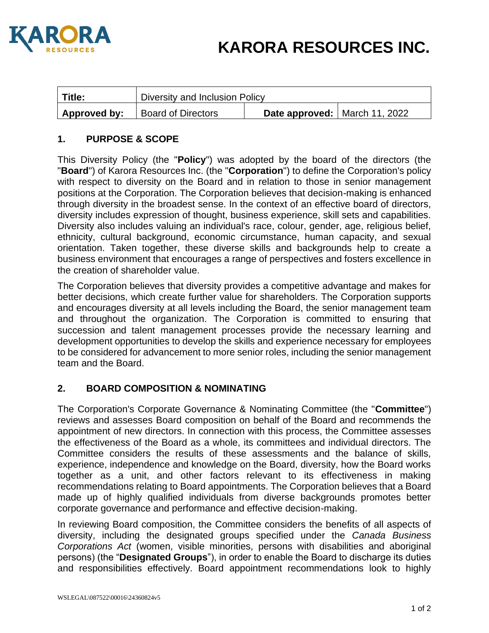

| Title:       | Diversity and Inclusion Policy |                                 |  |
|--------------|--------------------------------|---------------------------------|--|
| Approved by: | <b>Board of Directors</b>      | Date approved:   March 11, 2022 |  |

## **1. PURPOSE & SCOPE**

This Diversity Policy (the "**Policy**") was adopted by the board of the directors (the "**Board**") of Karora Resources Inc. (the "**Corporation**") to define the Corporation's policy with respect to diversity on the Board and in relation to those in senior management positions at the Corporation. The Corporation believes that decision-making is enhanced through diversity in the broadest sense. In the context of an effective board of directors, diversity includes expression of thought, business experience, skill sets and capabilities. Diversity also includes valuing an individual's race, colour, gender, age, religious belief, ethnicity, cultural background, economic circumstance, human capacity, and sexual orientation. Taken together, these diverse skills and backgrounds help to create a business environment that encourages a range of perspectives and fosters excellence in the creation of shareholder value.

The Corporation believes that diversity provides a competitive advantage and makes for better decisions, which create further value for shareholders. The Corporation supports and encourages diversity at all levels including the Board, the senior management team and throughout the organization. The Corporation is committed to ensuring that succession and talent management processes provide the necessary learning and development opportunities to develop the skills and experience necessary for employees to be considered for advancement to more senior roles, including the senior management team and the Board.

## **2. BOARD COMPOSITION & NOMINATING**

The Corporation's Corporate Governance & Nominating Committee (the "**Committee**") reviews and assesses Board composition on behalf of the Board and recommends the appointment of new directors. In connection with this process, the Committee assesses the effectiveness of the Board as a whole, its committees and individual directors. The Committee considers the results of these assessments and the balance of skills, experience, independence and knowledge on the Board, diversity, how the Board works together as a unit, and other factors relevant to its effectiveness in making recommendations relating to Board appointments. The Corporation believes that a Board made up of highly qualified individuals from diverse backgrounds promotes better corporate governance and performance and effective decision-making.

In reviewing Board composition, the Committee considers the benefits of all aspects of diversity, including the designated groups specified under the *Canada Business Corporations Act* (women, visible minorities, persons with disabilities and aboriginal persons) (the "**Designated Groups**"), in order to enable the Board to discharge its duties and responsibilities effectively. Board appointment recommendations look to highly